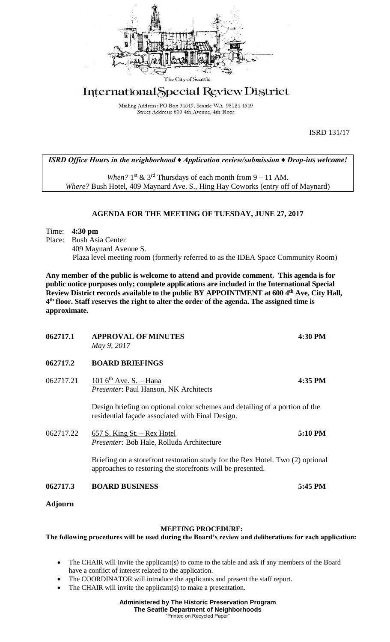

# International Special Review District

Mailing Address: PO Box 94649, Seattle WA 98124-4649 Street Address: 600 4th Avenue, 4th Floor

ISRD 131/17

## *ISRD Office Hours in the neighborhood ♦ Application review/submission ♦ Drop-ins welcome!*

When?  $1^{st}$  &  $3^{rd}$  Thursdays of each month from  $9 - 11$  AM. *Where?* Bush Hotel, 409 Maynard Ave. S., Hing Hay Coworks (entry off of Maynard)

## **AGENDA FOR THE MEETING OF TUESDAY, JUNE 27, 2017**

### Time: **4:30 pm**

Place: Bush Asia Center 409 Maynard Avenue S. Plaza level meeting room (formerly referred to as the IDEA Space Community Room)

**Any member of the public is welcome to attend and provide comment. This agenda is for public notice purposes only; complete applications are included in the International Special Review District records available to the public BY APPOINTMENT at 600 4th Ave, City Hall, 4 th floor. Staff reserves the right to alter the order of the agenda. The assigned time is approximate.** 

| 062717.1       | <b>APPROVAL OF MINUTES</b><br>May 9, 2017                                                                                                    | 4:30 PM |
|----------------|----------------------------------------------------------------------------------------------------------------------------------------------|---------|
| 062717.2       | <b>BOARD BRIEFINGS</b>                                                                                                                       |         |
| 062717.21      | 101 $6th$ Ave. S. - Hana<br><i>Presenter</i> : Paul Hanson, NK Architects                                                                    | 4:35 PM |
|                | Design briefing on optional color schemes and detailing of a portion of the<br>residential façade associated with Final Design.              |         |
| 062717.22      | $657$ S. King St. – Rex Hotel<br><i>Presenter:</i> Bob Hale, Rolluda Architecture                                                            | 5:10 PM |
|                | Briefing on a storefront restoration study for the Rex Hotel. Two (2) optional<br>approaches to restoring the storefronts will be presented. |         |
| 062717.3       | <b>BOARD BUSINESS</b>                                                                                                                        | 5:45 PM |
| <b>Adjourn</b> |                                                                                                                                              |         |

#### **MEETING PROCEDURE:**

**The following procedures will be used during the Board's review and deliberations for each application:** 

- The CHAIR will invite the applicant(s) to come to the table and ask if any members of the Board have a conflict of interest related to the application.
- The COORDINATOR will introduce the applicants and present the staff report.
- The CHAIR will invite the applicant(s) to make a presentation.